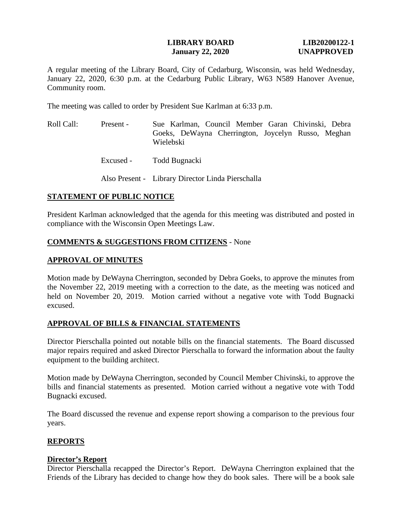### **LIBRARY BOARD LIB20200122-1 January 22, 2020 UNAPPROVED**

A regular meeting of the Library Board, City of Cedarburg, Wisconsin, was held Wednesday, January 22, 2020, 6:30 p.m. at the Cedarburg Public Library, W63 N589 Hanover Avenue, Community room.

The meeting was called to order by President Sue Karlman at 6:33 p.m.

- Roll Call: Present Sue Karlman, Council Member Garan Chivinski, Debra Goeks, DeWayna Cherrington, Joycelyn Russo, Meghan Wielebski
	- Excused Todd Bugnacki

Also Present - Library Director Linda Pierschalla

#### **STATEMENT OF PUBLIC NOTICE**

President Karlman acknowledged that the agenda for this meeting was distributed and posted in compliance with the Wisconsin Open Meetings Law.

#### **COMMENTS & SUGGESTIONS FROM CITIZENS** - None

### **APPROVAL OF MINUTES**

Motion made by DeWayna Cherrington, seconded by Debra Goeks, to approve the minutes from the November 22, 2019 meeting with a correction to the date, as the meeting was noticed and held on November 20, 2019. Motion carried without a negative vote with Todd Bugnacki excused.

# **APPROVAL OF BILLS & FINANCIAL STATEMENTS**

Director Pierschalla pointed out notable bills on the financial statements. The Board discussed major repairs required and asked Director Pierschalla to forward the information about the faulty equipment to the building architect.

Motion made by DeWayna Cherrington, seconded by Council Member Chivinski, to approve the bills and financial statements as presented. Motion carried without a negative vote with Todd Bugnacki excused.

The Board discussed the revenue and expense report showing a comparison to the previous four years.

# **REPORTS**

#### **Director's Report**

Director Pierschalla recapped the Director's Report. DeWayna Cherrington explained that the Friends of the Library has decided to change how they do book sales. There will be a book sale